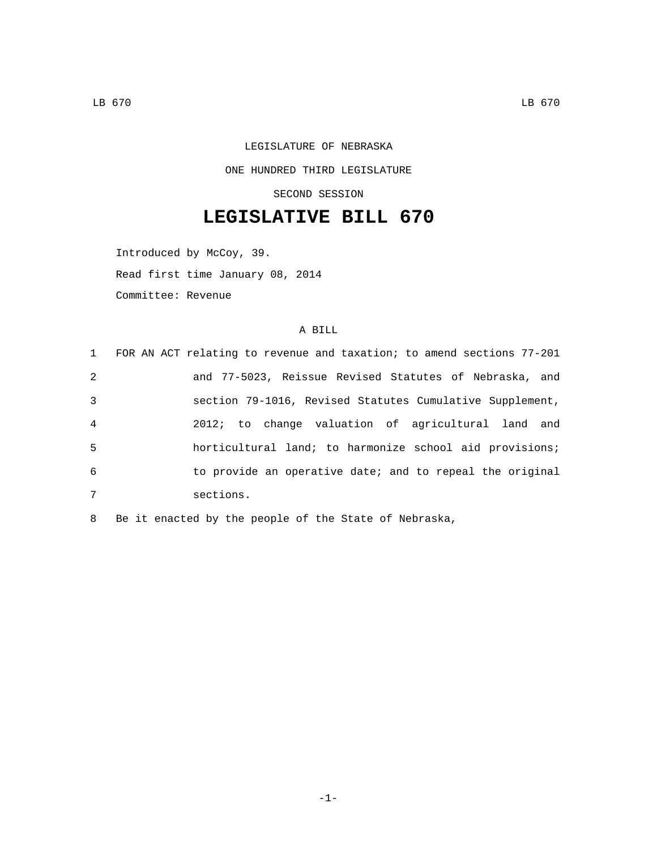## LEGISLATURE OF NEBRASKA ONE HUNDRED THIRD LEGISLATURE SECOND SESSION

## **LEGISLATIVE BILL 670**

Introduced by McCoy, 39. Read first time January 08, 2014 Committee: Revenue

## A BILL

| 2<br>3<br>$\overline{4}$<br>5<br>6<br>7<br>sections. | 1 FOR AN ACT relating to revenue and taxation; to amend sections 77-201 |
|------------------------------------------------------|-------------------------------------------------------------------------|
|                                                      | and 77-5023, Reissue Revised Statutes of Nebraska, and                  |
|                                                      | section 79-1016, Revised Statutes Cumulative Supplement,                |
|                                                      | 2012; to change valuation of agricultural land and                      |
|                                                      | horticultural land; to harmonize school aid provisions;                 |
|                                                      | to provide an operative date; and to repeal the original                |
|                                                      |                                                                         |

8 Be it enacted by the people of the State of Nebraska,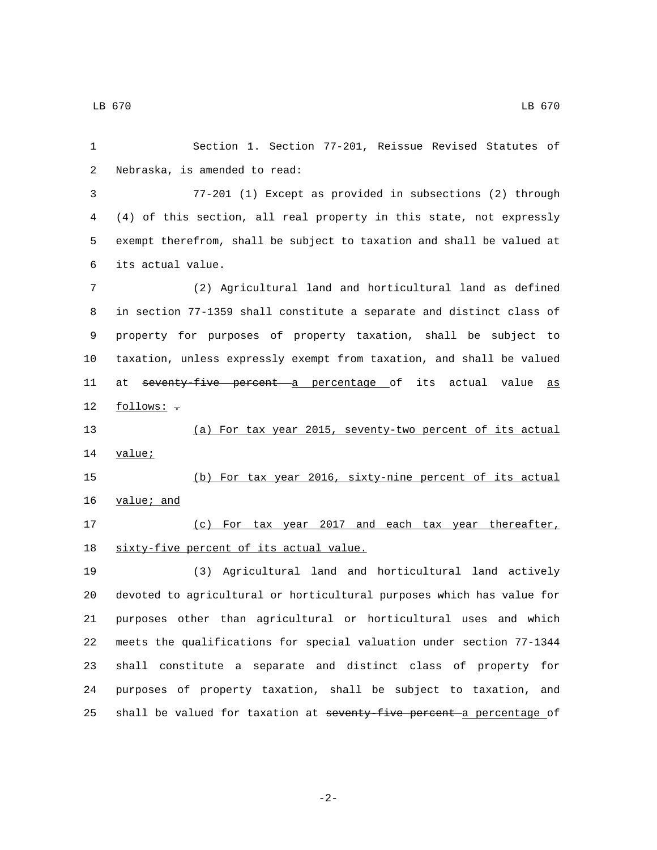LB 670 LB 670

 Section 1. Section 77-201, Reissue Revised Statutes of 2 Nebraska, is amended to read: 77-201 (1) Except as provided in subsections (2) through (4) of this section, all real property in this state, not expressly exempt therefrom, shall be subject to taxation and shall be valued at its actual value.6 (2) Agricultural land and horticultural land as defined in section 77-1359 shall constitute a separate and distinct class of property for purposes of property taxation, shall be subject to taxation, unless expressly exempt from taxation, and shall be valued 11 at seventy-five percent a percentage of its actual value as 12 follows: - (a) For tax year 2015, seventy-two percent of its actual 14 value; (b) For tax year 2016, sixty-nine percent of its actual 16 value; and (c) For tax year 2017 and each tax year thereafter, 18 sixty-five percent of its actual value. (3) Agricultural land and horticultural land actively devoted to agricultural or horticultural purposes which has value for purposes other than agricultural or horticultural uses and which meets the qualifications for special valuation under section 77-1344 shall constitute a separate and distinct class of property for purposes of property taxation, shall be subject to taxation, and 25 shall be valued for taxation at seventy-five percent a percentage of

-2-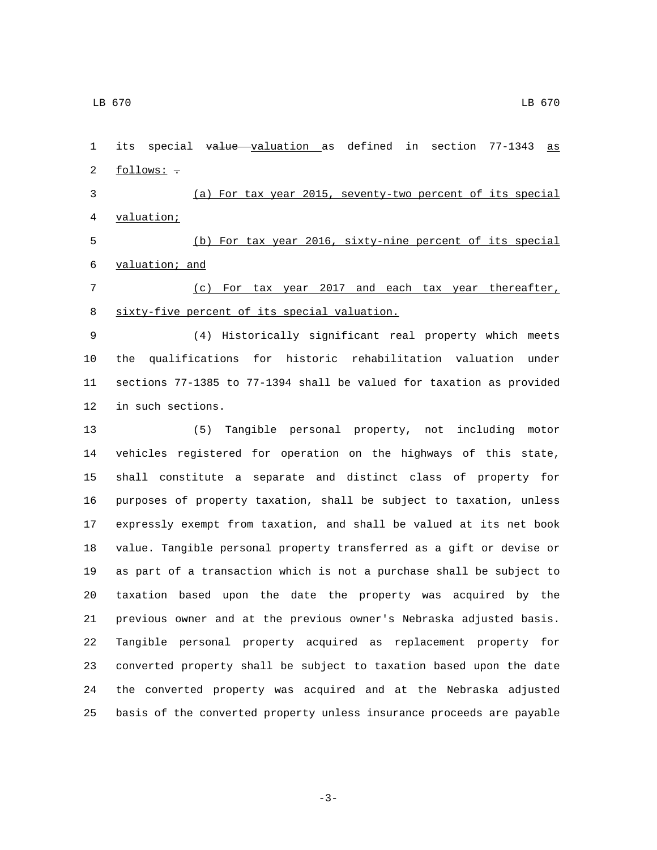2 follows: -

1 its special value valuation as defined in section 77-1343 as

 (a) For tax year 2015, seventy-two percent of its special 4 valuation;

 (b) For tax year 2016, sixty-nine percent of its special 6 valuation; and

 (c) For tax year 2017 and each tax year thereafter, 8 sixty-five percent of its special valuation.

 (4) Historically significant real property which meets the qualifications for historic rehabilitation valuation under sections 77-1385 to 77-1394 shall be valued for taxation as provided 12 in such sections.

 (5) Tangible personal property, not including motor vehicles registered for operation on the highways of this state, shall constitute a separate and distinct class of property for purposes of property taxation, shall be subject to taxation, unless expressly exempt from taxation, and shall be valued at its net book value. Tangible personal property transferred as a gift or devise or as part of a transaction which is not a purchase shall be subject to taxation based upon the date the property was acquired by the previous owner and at the previous owner's Nebraska adjusted basis. Tangible personal property acquired as replacement property for converted property shall be subject to taxation based upon the date the converted property was acquired and at the Nebraska adjusted basis of the converted property unless insurance proceeds are payable

-3-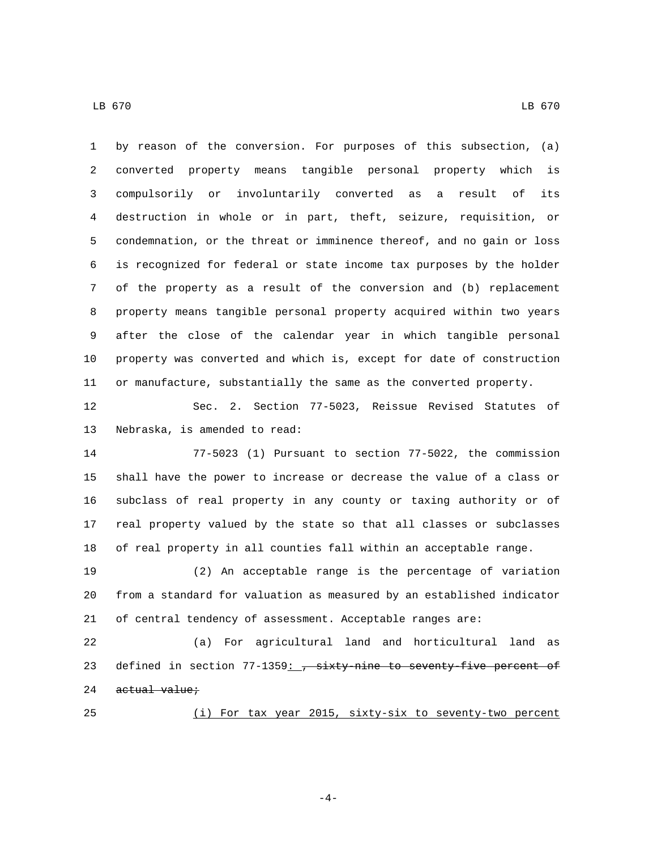LB 670 LB 670

 by reason of the conversion. For purposes of this subsection, (a) converted property means tangible personal property which is compulsorily or involuntarily converted as a result of its destruction in whole or in part, theft, seizure, requisition, or condemnation, or the threat or imminence thereof, and no gain or loss is recognized for federal or state income tax purposes by the holder of the property as a result of the conversion and (b) replacement property means tangible personal property acquired within two years after the close of the calendar year in which tangible personal property was converted and which is, except for date of construction or manufacture, substantially the same as the converted property.

 Sec. 2. Section 77-5023, Reissue Revised Statutes of 13 Nebraska, is amended to read:

 77-5023 (1) Pursuant to section 77-5022, the commission shall have the power to increase or decrease the value of a class or subclass of real property in any county or taxing authority or of real property valued by the state so that all classes or subclasses of real property in all counties fall within an acceptable range.

 (2) An acceptable range is the percentage of variation from a standard for valuation as measured by an established indicator of central tendency of assessment. Acceptable ranges are:

 (a) For agricultural land and horticultural land as 23 defined in section  $77-1359$ :  $\frac{1}{7}$  sixty-nine to seventy-five percent of actual value;

(i) For tax year 2015, sixty-six to seventy-two percent

-4-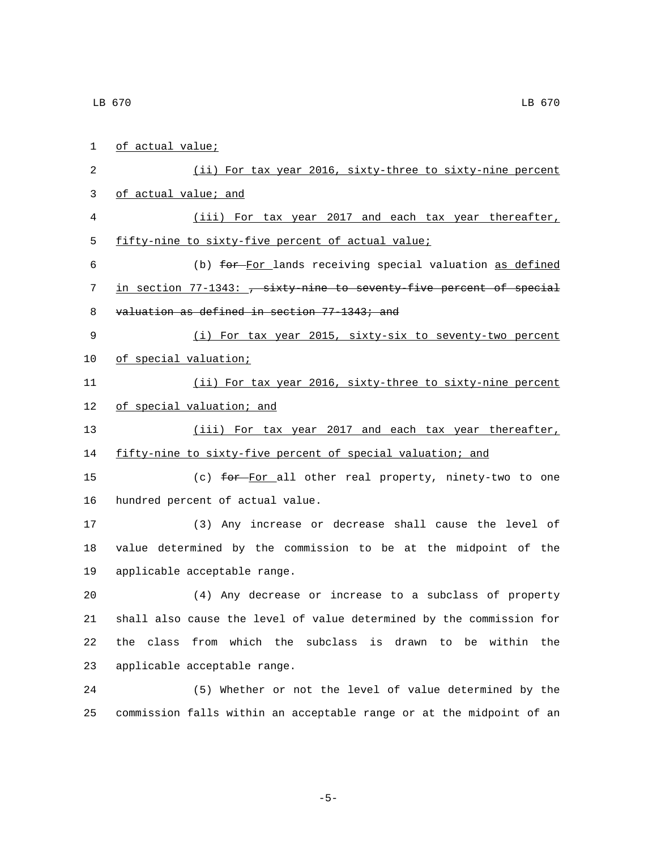2 (ii) For tax year 2016, sixty-three to sixty-nine percent 4 (iii) For tax year 2017 and each tax year thereafter, 5 fifty-nine to sixty-five percent of actual value; 6 (b) for For lands receiving special valuation as defined 7 in section 77-1343: , sixty-nine to seventy-five percent of special 8 valuation as defined in section 77-1343; and 9 (i) For tax year 2015, sixty-six to seventy-two percent

10 of special valuation;

1 of actual value;

3 of actual value; and

11 (ii) For tax year 2016, sixty-three to sixty-nine percent 12 of special valuation; and

13 (iii) For tax year 2017 and each tax year thereafter, 14 fifty-nine to sixty-five percent of special valuation; and

15 (c) for For all other real property, ninety-two to one 16 hundred percent of actual value.

17 (3) Any increase or decrease shall cause the level of 18 value determined by the commission to be at the midpoint of the 19 applicable acceptable range.

 (4) Any decrease or increase to a subclass of property shall also cause the level of value determined by the commission for the class from which the subclass is drawn to be within the 23 applicable acceptable range.

24 (5) Whether or not the level of value determined by the 25 commission falls within an acceptable range or at the midpoint of an

-5-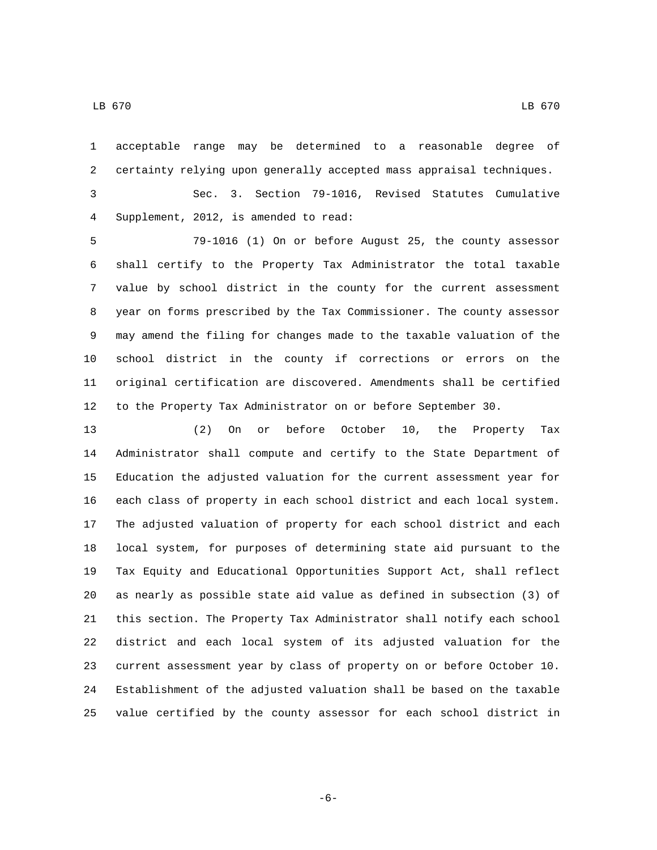acceptable range may be determined to a reasonable degree of certainty relying upon generally accepted mass appraisal techniques.

 Sec. 3. Section 79-1016, Revised Statutes Cumulative Supplement, 2012, is amended to read:4

 79-1016 (1) On or before August 25, the county assessor shall certify to the Property Tax Administrator the total taxable value by school district in the county for the current assessment year on forms prescribed by the Tax Commissioner. The county assessor may amend the filing for changes made to the taxable valuation of the school district in the county if corrections or errors on the original certification are discovered. Amendments shall be certified to the Property Tax Administrator on or before September 30.

 (2) On or before October 10, the Property Tax Administrator shall compute and certify to the State Department of Education the adjusted valuation for the current assessment year for each class of property in each school district and each local system. The adjusted valuation of property for each school district and each local system, for purposes of determining state aid pursuant to the Tax Equity and Educational Opportunities Support Act, shall reflect as nearly as possible state aid value as defined in subsection (3) of this section. The Property Tax Administrator shall notify each school district and each local system of its adjusted valuation for the current assessment year by class of property on or before October 10. Establishment of the adjusted valuation shall be based on the taxable value certified by the county assessor for each school district in

-6-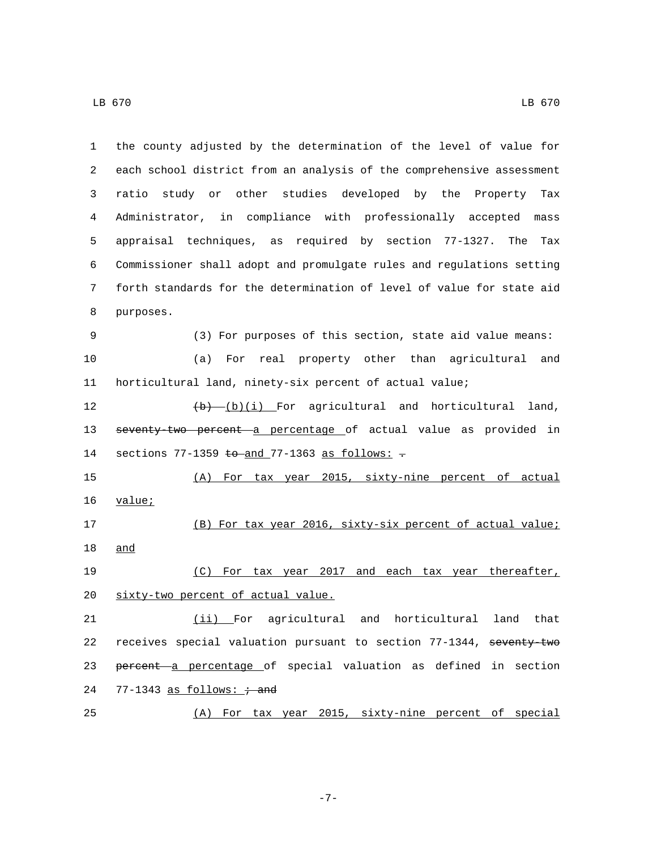| 1  | the county adjusted by the determination of the level of value for       |
|----|--------------------------------------------------------------------------|
| 2  | each school district from an analysis of the comprehensive assessment    |
| 3  | ratio study or other studies developed by the Property<br>Tax            |
| 4  | Administrator, in compliance with professionally accepted mass           |
| 5  | appraisal techniques, as required by section 77-1327.<br>The<br>Tax      |
| 6  | Commissioner shall adopt and promulgate rules and regulations setting    |
| 7  | forth standards for the determination of level of value for state aid    |
| 8  | purposes.                                                                |
| 9  | (3) For purposes of this section, state aid value means:                 |
| 10 | real property other than agricultural<br>and<br>(a)<br>For               |
| 11 | horticultural land, ninety-six percent of actual value;                  |
| 12 | $(b)$ (b) (i) For agricultural and horticultural<br>land,                |
| 13 | seventy-two percent a percentage of actual value as provided in          |
| 14 | sections $77-1359$ to and $77-1363$ as follows: $\overline{\phantom{a}}$ |
| 15 | (A) For tax year 2015, sixty-nine percent of actual                      |
| 16 | value;                                                                   |
| 17 | (B) For tax year 2016, sixty-six percent of actual value;                |
| 18 | and                                                                      |
| 19 |                                                                          |
|    | (C) For tax year 2017 and each tax year thereafter,                      |
| 20 | sixty-two percent of actual value.                                       |
| 21 | (ii) For agricultural and horticultural land that                        |
| 22 | receives special valuation pursuant to section 77-1344, seventy-two      |
| 23 | percent a percentage of special valuation as defined in section          |

(A) For tax year 2015, sixty-nine percent of special

-7-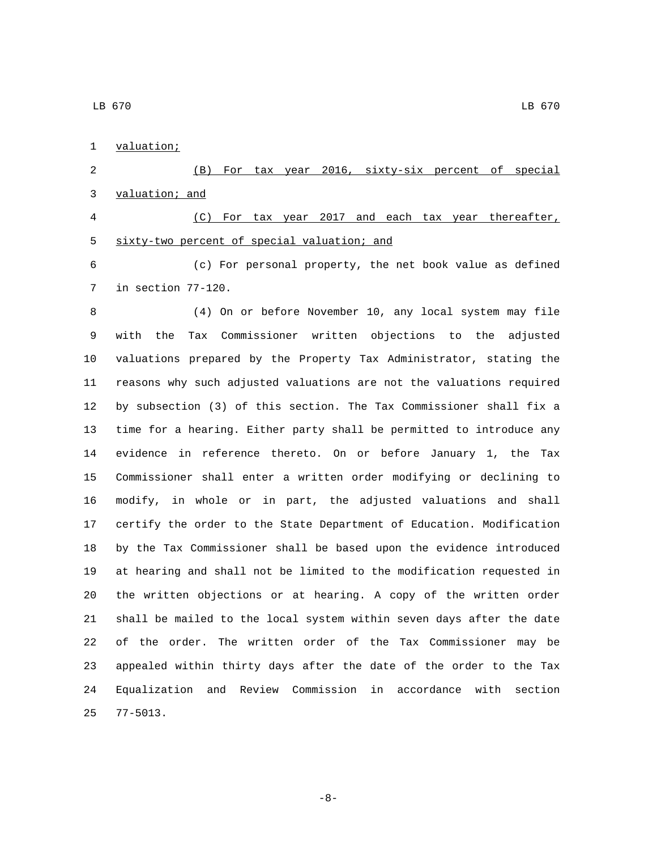1 valuation;

 (B) For tax year 2016, sixty-six percent of special 3 valuation; and

 (C) For tax year 2017 and each tax year thereafter, 5 sixty-two percent of special valuation; and

 (c) For personal property, the net book value as defined 7 in section 77-120.

 (4) On or before November 10, any local system may file with the Tax Commissioner written objections to the adjusted valuations prepared by the Property Tax Administrator, stating the reasons why such adjusted valuations are not the valuations required by subsection (3) of this section. The Tax Commissioner shall fix a time for a hearing. Either party shall be permitted to introduce any evidence in reference thereto. On or before January 1, the Tax Commissioner shall enter a written order modifying or declining to modify, in whole or in part, the adjusted valuations and shall certify the order to the State Department of Education. Modification by the Tax Commissioner shall be based upon the evidence introduced at hearing and shall not be limited to the modification requested in the written objections or at hearing. A copy of the written order shall be mailed to the local system within seven days after the date of the order. The written order of the Tax Commissioner may be appealed within thirty days after the date of the order to the Tax Equalization and Review Commission in accordance with section 77-5013.25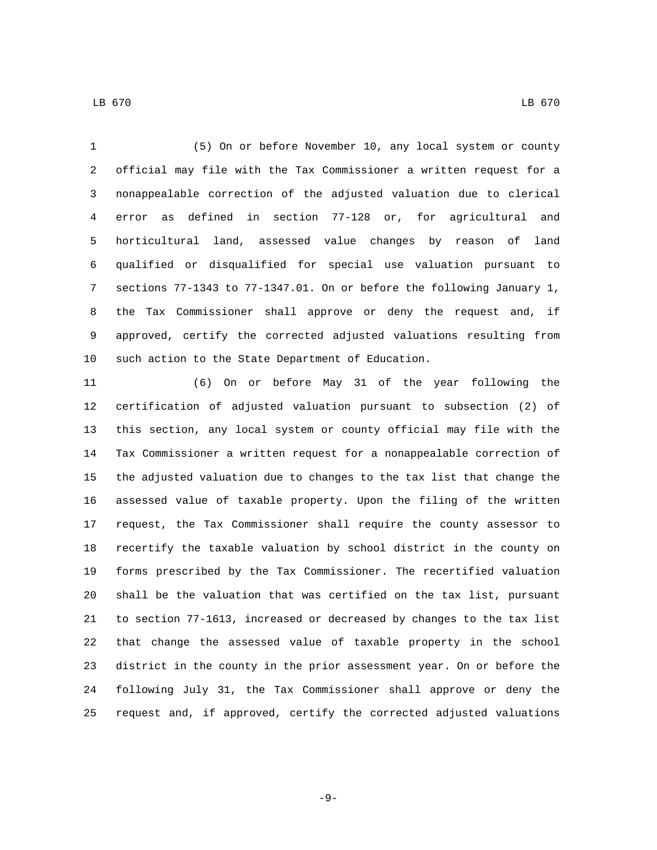(5) On or before November 10, any local system or county official may file with the Tax Commissioner a written request for a nonappealable correction of the adjusted valuation due to clerical error as defined in section 77-128 or, for agricultural and horticultural land, assessed value changes by reason of land qualified or disqualified for special use valuation pursuant to sections 77-1343 to 77-1347.01. On or before the following January 1, the Tax Commissioner shall approve or deny the request and, if approved, certify the corrected adjusted valuations resulting from 10 such action to the State Department of Education.

 (6) On or before May 31 of the year following the certification of adjusted valuation pursuant to subsection (2) of this section, any local system or county official may file with the Tax Commissioner a written request for a nonappealable correction of the adjusted valuation due to changes to the tax list that change the assessed value of taxable property. Upon the filing of the written request, the Tax Commissioner shall require the county assessor to recertify the taxable valuation by school district in the county on forms prescribed by the Tax Commissioner. The recertified valuation shall be the valuation that was certified on the tax list, pursuant to section 77-1613, increased or decreased by changes to the tax list that change the assessed value of taxable property in the school district in the county in the prior assessment year. On or before the following July 31, the Tax Commissioner shall approve or deny the request and, if approved, certify the corrected adjusted valuations